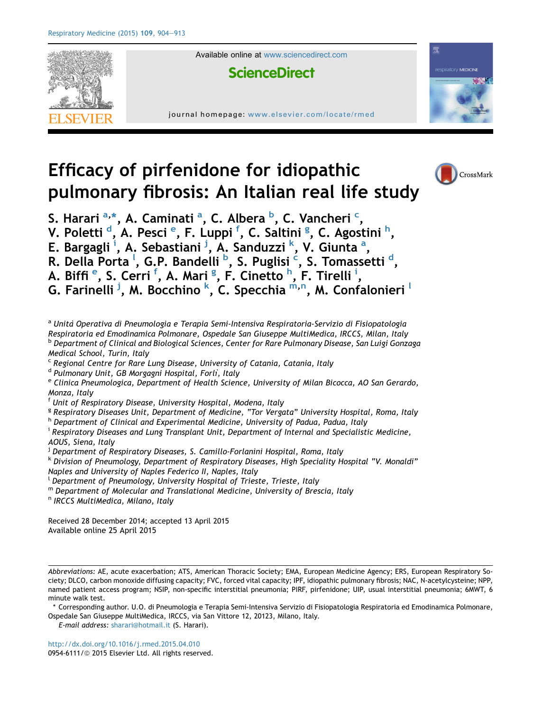

# Efficacy of pirfenidone for idiopathic pulmonary fibrosis: An Italian real life study



- S. Harari <sup>a,</sup>\*, A. Caminati <sup>a</sup>, C. Albera <sup>b</sup>, C. Vancheri <sup>c</sup>,
- V. Poletti <sup>d</sup>, A. Pesci <sup>e</sup>, F. Luppi <sup>f</sup>, C. Saltini <sup>g</sup>, C. Agostini <sup>h</sup>,
- E. Bargagli<sup>i</sup>, A. Sebastiani<sup>j</sup>, A. Sanduzzi<sup>k</sup>, V. Giunta<sup>a</sup>,
- R. Della Porta <sup>I</sup>, G.P. Bandelli <sup>b</sup>, S. Puglisi <sup>c</sup>, S. Tomassetti <sup>d</sup>,
- A. Biffi <sup>e</sup>, S. Cerri <sup>f</sup>, A. Mari <sup>g</sup>, F. Cinetto <sup>h</sup>, F. Tirelli <sup>i</sup>,
- G. Farinelli <sup>j</sup>, M. Bocchino <sup>k</sup>, C. Specchia <sup>m,n</sup>, M. Confalonieri <sup>l</sup>

<sup>a</sup> Unità Operativa di Pneumologia e Terapia Semi-Intensiva Respiratoria-Servizio di Fisiopatologia Respiratoria ed Emodinamica Polmonare, Ospedale San Giuseppe MultiMedica, IRCCS, Milan, Italy **b Department of Clinical and Biological Sciences, Center for Rare Pulmonary Disease, San Luigi Gonzaga** Medical School, Turin, Italy

 $\degree$  Regional Centre for Rare Lung Disease, University of Catania, Catania, Italy  $\degree$  Pulmonary Unit, GB Morgagni Hospital, Forli, Italy

e Clinica Pneumologica, Department of Health Science, University of Milan Bicocca, AO San Gerardo, Monza, Italy

- <sup>f</sup> Unit of Respiratory Disease, University Hospital, Modena, Italy
- <sup>g</sup> Respiratory Diseases Unit, Department of Medicine, "Tor Vergata" University Hospital, Roma, Italy
- h Department of Clinical and Experimental Medicine, University of Padua, Padua, Italy

<sup>i</sup> Respiratory Diseases and Lung Transplant Unit, Department of Internal and Specialistic Medicine, AOUS, Siena, Italy

- <sup>j</sup> Department of Respiratory Diseases, S. Camillo-Forlanini Hospital, Roma, Italy
- <sup>k</sup> Division of Pneumology, Department of Respiratory Diseases, High Speciality Hospital "V. Monaldi" Naples and University of Naples Federico II, Naples, Italy

<sup>l</sup> Department of Pneumology, University Hospital of Trieste, Trieste, Italy

 $^{\mathsf{m}}$  Department of Molecular and Translational Medicine, University of Brescia, Italy n IRCCS MultiMedica, Milano, Italy

Received 28 December 2014; accepted 13 April 2015 Available online 25 April 2015

\* Corresponding author. U.O. di Pneumologia e Terapia Semi-Intensiva Servizio di Fisiopatologia Respiratoria ed Emodinamica Polmonare, Ospedale San Giuseppe MultiMedica, IRCCS, via San Vittore 12, 20123, Milano, Italy.

E-mail address: [sharari@hotmail.it](mailto:sharari@hotmail.it) (S. Harari).

Abbreviations: AE, acute exacerbation; ATS, American Thoracic Society; EMA, European Medicine Agency; ERS, European Respiratory Society; DLCO, carbon monoxide diffusing capacity; FVC, forced vital capacity; IPF, idiopathic pulmonary fibrosis; NAC, N-acetylcysteine; NPP, named patient access program; NSIP, non-specific interstitial pneumonia; PIRF, pirfenidone; UIP, usual interstitial pneumonia; 6MWT, 6 minute walk test.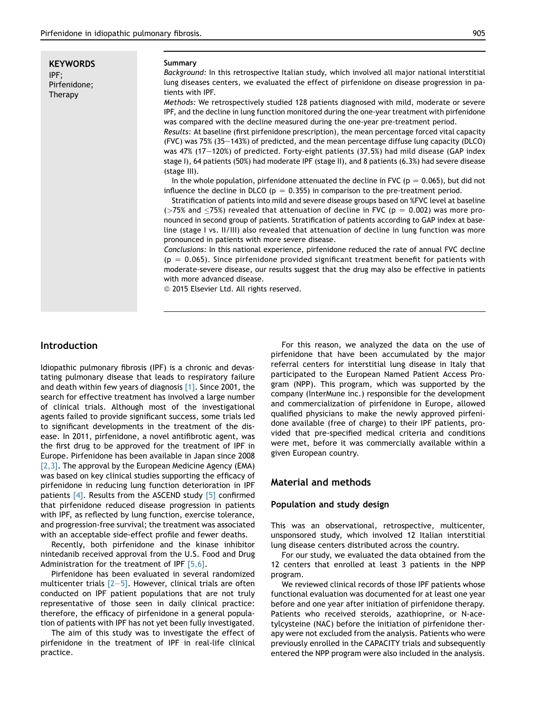**KEYWORDS** IPF; Pirfenidone; Therapy Summary Background: In this retrospective Italian study, which involved all major national interstitial lung diseases centers, we evaluated the effect of pirfenidone on disease progression in patients with IPF. Methods: We retrospectively studied 128 patients diagnosed with mild, moderate or severe IPF, and the decline in lung function monitored during the one-year treatment with pirfenidone was compared with the decline measured during the one-year pre-treatment period. Results: At baseline (first pirfenidone prescription), the mean percentage forced vital capacity (FVC) was 75% (35-143%) of predicted, and the mean percentage diffuse lung capacity (DLCO) was 47% (17 $-120%$ ) of predicted. Forty-eight patients (37.5%) had mild disease (GAP index stage I), 64 patients (50%) had moderate IPF (stage II), and 8 patients (6.3%) had severe disease (stage III). In the whole population, pirfenidone attenuated the decline in FVC ( $p = 0.065$ ), but did not influence the decline in DLCO ( $p = 0.355$ ) in comparison to the pre-treatment period. Stratification of patients into mild and severe disease groups based on %FVC level at baseline ( $>75\%$  and  $\leq$ 75%) revealed that attenuation of decline in FVC (p = 0.002) was more pronounced in second group of patients. Stratification of patients according to GAP index at baseline (stage I vs. II/III) also revealed that attenuation of decline in lung function was more pronounced in patients with more severe disease. Conclusions: In this national experience, pirfenidone reduced the rate of annual FVC decline ( $p = 0.065$ ). Since pirfenidone provided significant treatment benefit for patients with moderate-severe disease, our results suggest that the drug may also be effective in patients with more advanced disease.

<sup>©</sup> 2015 Elsevier Ltd. All rights reserved.

## Introduction

Idiopathic pulmonary fibrosis (IPF) is a chronic and devastating pulmonary disease that leads to respiratory failure and death within few years of diagnosis [\[1\]](#page-8-0). Since 2001, the search for effective treatment has involved a large number of clinical trials. Although most of the investigational agents failed to provide significant success, some trials led to significant developments in the treatment of the disease. In 2011, pirfenidone, a novel antifibrotic agent, was the first drug to be approved for the treatment of IPF in Europe. Pirfenidone has been available in Japan since 2008 [\[2,3\].](#page-8-0) The approval by the European Medicine Agency (EMA) was based on key clinical studies supporting the efficacy of pirfenidone in reducing lung function deterioration in IPF patients [\[4\].](#page-8-0) Results from the ASCEND study [\[5\]](#page-8-0) confirmed that pirfenidone reduced disease progression in patients with IPF, as reflected by lung function, exercise tolerance, and progression-free survival; the treatment was associated with an acceptable side-effect profile and fewer deaths.

Recently, both pirfenidone and the kinase inhibitor nintedanib received approval from the U.S. Food and Drug Administration for the treatment of IPF [\[5,6\]](#page-8-0).

Pirfenidone has been evaluated in several randomized multicenter trials  $[2-5]$  $[2-5]$ . However, clinical trials are often conducted on IPF patient populations that are not truly representative of those seen in daily clinical practice: therefore, the efficacy of pirfenidone in a general population of patients with IPF has not yet been fully investigated.

The aim of this study was to investigate the effect of pirfenidone in the treatment of IPF in real-life clinical practice.

For this reason, we analyzed the data on the use of pirfenidone that have been accumulated by the major referral centers for interstitial lung disease in Italy that participated to the European Named Patient Access Program (NPP). This program, which was supported by the company (InterMune inc.) responsible for the development and commercialization of pirfenidone in Europe, allowed qualified physicians to make the newly approved pirfenidone available (free of charge) to their IPF patients, provided that pre-specified medical criteria and conditions were met, before it was commercially available within a given European country.

# Material and methods

#### Population and study design

This was an observational, retrospective, multicenter, unsponsored study, which involved 12 Italian interstitial lung disease centers distributed across the country.

For our study, we evaluated the data obtained from the 12 centers that enrolled at least 3 patients in the NPP program.

We reviewed clinical records of those IPF patients whose functional evaluation was documented for at least one year before and one year after initiation of pirfenidone therapy. Patients who received steroids, azathioprine, or N-acetylcysteine (NAC) before the initiation of pirfenidone therapy were not excluded from the analysis. Patients who were previously enrolled in the CAPACITY trials and subsequently entered the NPP program were also included in the analysis.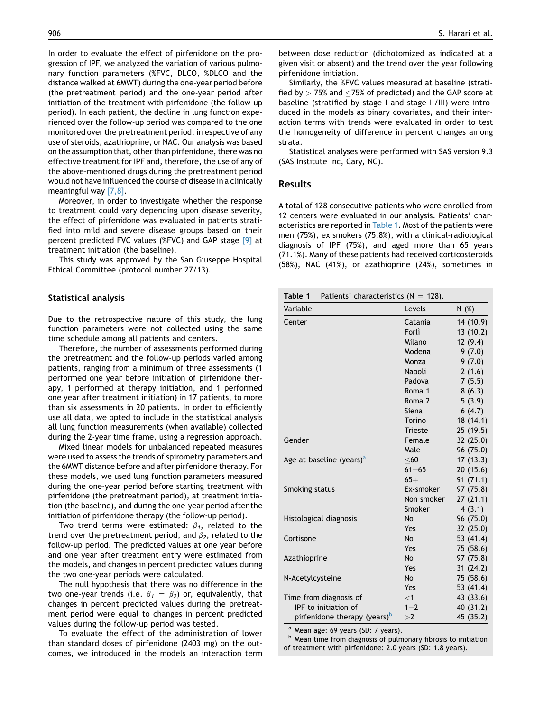<span id="page-2-0"></span>In order to evaluate the effect of pirfenidone on the progression of IPF, we analyzed the variation of various pulmonary function parameters (%FVC, DLCO, %DLCO and the distance walked at 6MWT) during the one-year period before (the pretreatment period) and the one-year period after initiation of the treatment with pirfenidone (the follow-up period). In each patient, the decline in lung function experienced over the follow-up period was compared to the one monitored over the pretreatment period, irrespective of any use of steroids, azathioprine, or NAC. Our analysis was based on the assumption that, other than pirfenidone, there was no effective treatment for IPF and, therefore, the use of any of the above-mentioned drugs during the pretreatment period would not have influenced the course of disease in a clinically meaningful way [\[7,8\].](#page-8-0)

Moreover, in order to investigate whether the response to treatment could vary depending upon disease severity, the effect of pirfenidone was evaluated in patients stratified into mild and severe disease groups based on their percent predicted FVC values (%FVC) and GAP stage [\[9\]](#page-8-0) at treatment initiation (the baseline).

This study was approved by the San Giuseppe Hospital Ethical Committee (protocol number 27/13).

#### Statistical analysis

Due to the retrospective nature of this study, the lung function parameters were not collected using the same time schedule among all patients and centers.

Therefore, the number of assessments performed during the pretreatment and the follow-up periods varied among patients, ranging from a minimum of three assessments (1 performed one year before initiation of pirfenidone therapy, 1 performed at therapy initiation, and 1 performed one year after treatment initiation) in 17 patients, to more than six assessments in 20 patients. In order to efficiently use all data, we opted to include in the statistical analysis all lung function measurements (when available) collected during the 2-year time frame, using a regression approach.

Mixed linear models for unbalanced repeated measures were used to assess the trends of spirometry parameters and the 6MWT distance before and after pirfenidone therapy. For these models, we used lung function parameters measured during the one-year period before starting treatment with pirfenidone (the pretreatment period), at treatment initiation (the baseline), and during the one-year period after the initiation of pirfenidone therapy (the follow-up period).

Two trend terms were estimated:  $\beta_1$ , related to the trend over the pretreatment period, and  $\beta_2$ , related to the follow-up period. The predicted values at one year before and one year after treatment entry were estimated from the models, and changes in percent predicted values during the two one-year periods were calculated.

The null hypothesis that there was no difference in the two one-year trends (i.e.  $\beta_1 = \beta_2$ ) or, equivalently, that changes in percent predicted values during the pretreatment period were equal to changes in percent predicted values during the follow-up period was tested.

To evaluate the effect of the administration of lower than standard doses of pirfenidone (2403 mg) on the outcomes, we introduced in the models an interaction term

between dose reduction (dichotomized as indicated at a given visit or absent) and the trend over the year following pirfenidone initiation.

Similarly, the %FVC values measured at baseline (stratified by  $>$  75% and  $\le$ 75% of predicted) and the GAP score at baseline (stratified by stage I and stage II/III) were introduced in the models as binary covariates, and their interaction terms with trends were evaluated in order to test the homogeneity of difference in percent changes among strata.

Statistical analyses were performed with SAS version 9.3 (SAS Institute Inc, Cary, NC).

#### Results

A total of 128 consecutive patients who were enrolled from 12 centers were evaluated in our analysis. Patients' characteristics are reported in Table 1. Most of the patients were men (75%), ex smokers (75.8%), with a clinical-radiological diagnosis of IPF (75%), and aged more than 65 years (71.1%). Many of these patients had received corticosteroids (58%), NAC (41%), or azathioprine (24%), sometimes in

| Table 1<br>Patients' characteristics ( $N = 128$ ). |                |           |  |  |  |  |
|-----------------------------------------------------|----------------|-----------|--|--|--|--|
| Variable                                            | Levels         | N(%)      |  |  |  |  |
| Center                                              | Catania        | 14 (10.9) |  |  |  |  |
|                                                     | Forlì          | 13 (10.2) |  |  |  |  |
|                                                     | Milano         | 12(9.4)   |  |  |  |  |
|                                                     | Modena         | 9(7.0)    |  |  |  |  |
|                                                     | Monza          | 9(7.0)    |  |  |  |  |
|                                                     | Napoli         | 2(1.6)    |  |  |  |  |
|                                                     | Padova         | 7(5.5)    |  |  |  |  |
|                                                     | Roma 1         | 8(6.3)    |  |  |  |  |
|                                                     | Roma 2         | 5(3.9)    |  |  |  |  |
|                                                     | Siena          | 6(4.7)    |  |  |  |  |
|                                                     | Torino         | 18(14.1)  |  |  |  |  |
|                                                     | <b>Trieste</b> | 25 (19.5) |  |  |  |  |
| Gender                                              | Female         | 32 (25.0) |  |  |  |  |
|                                                     | Male           | 96 (75.0) |  |  |  |  |
| Age at baseline (years) <sup>a</sup>                | $60$           | 17(13.3)  |  |  |  |  |
|                                                     | $61 - 65$      | 20(15.6)  |  |  |  |  |
|                                                     | $65+$          | 91(71.1)  |  |  |  |  |
| Smoking status                                      | Ex-smoker      | 97 (75.8) |  |  |  |  |
|                                                     | Non smoker     | 27(21.1)  |  |  |  |  |
|                                                     | Smoker         | 4(3.1)    |  |  |  |  |
| Histological diagnosis                              | No             | 96 (75.0) |  |  |  |  |
|                                                     | Yes            | 32 (25.0) |  |  |  |  |
| Cortisone                                           | <b>No</b>      | 53 (41.4) |  |  |  |  |
|                                                     | Yes            | 75 (58.6) |  |  |  |  |
| Azathioprine                                        | <b>No</b>      | 97 (75.8) |  |  |  |  |
|                                                     | Yes            | 31(24.2)  |  |  |  |  |
| N-Acetylcysteine                                    | No             | 75 (58.6) |  |  |  |  |
|                                                     | Yes            | 53 (41.4) |  |  |  |  |
| Time from diagnosis of                              | $<$ 1          | 43 (33.6) |  |  |  |  |
| IPF to initiation of                                | $1 - 2$        | 40 (31.2) |  |  |  |  |
| pirfenidone therapy (years) <sup>b</sup>            | >2             | 45 (35.2) |  |  |  |  |

<sup>a</sup> Mean age: 69 years (SD: 7 years).<br><sup>b</sup> Mean time from diagnosis of pulmonary fibrosis to initiation of treatment with pirfenidone: 2.0 years (SD: 1.8 years).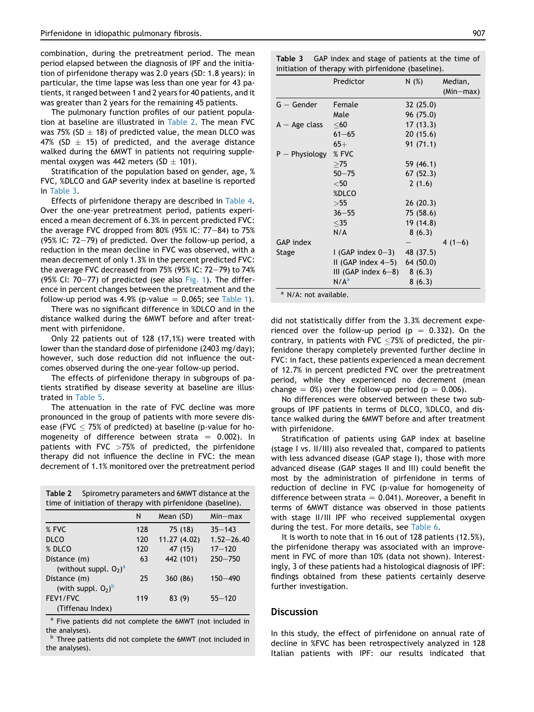combination, during the pretreatment period. The mean period elapsed between the diagnosis of IPF and the initiation of pirfenidone therapy was 2.0 years (SD: 1.8 years): in particular, the time lapse was less than one year for 43 patients, it ranged between 1 and 2 years for 40 patients, and it was greater than 2 years for the remaining 45 patients.

The pulmonary function profiles of our patient population at baseline are illustrated in Table 2. The mean FVC was 75% (SD  $\pm$  18) of predicted value, the mean DLCO was 47% (SD  $\pm$  15) of predicted, and the average distance walked during the 6MWT in patients not requiring supplemental oxygen was 442 meters (SD  $\pm$  101).

Stratification of the population based on gender, age, % FVC, %DLCO and GAP severity index at baseline is reported in Table 3.

Effects of pirfenidone therapy are described in [Table 4](#page-4-0). Over the one-year pretreatment period, patients experienced a mean decrement of 6.3% in percent predicted FVC: the average FVC dropped from  $80\%$  (95% IC:  $77-84$ ) to  $75\%$ (95% IC:  $72-79$ ) of predicted. Over the follow-up period, a reduction in the mean decline in FVC was observed, with a mean decrement of only 1.3% in the percent predicted FVC: the average FVC decreased from  $75\%$  (95% IC:  $72-79$ ) to  $74\%$ (95% CI:  $70-77$ ) of predicted (see also [Fig. 1](#page-4-0)). The difference in percent changes between the pretreatment and the follow-up period was 4.9% (p-value  $= 0.065$ ; see [Table 1](#page-2-0)).

There was no significant difference in %DLCO and in the distance walked during the 6MWT before and after treatment with pirfenidone.

Only 22 patients out of 128 (17,1%) were treated with lower than the standard dose of pirfenidone (2403 mg/day); however, such dose reduction did not influence the outcomes observed during the one-year follow-up period.

The effects of pirfenidone therapy in subgroups of patients stratified by disease severity at baseline are illustrated in [Table 5.](#page-5-0)

The attenuation in the rate of FVC decline was more pronounced in the group of patients with more severe disease (FVC  $\leq$  75% of predicted) at baseline (p-value for homogeneity of difference between strata  $= 0.002$ ). In patients with FVC >75% of predicted, the pirfenidone therapy did not influence the decline in FVC: the mean decrement of 1.1% monitored over the pretreatment period

| Spirometry parameters and 6MWT distance at the<br>Table 2<br>time of initiation of therapy with pirfenidone (baseline). |     |              |                |  |  |  |
|-------------------------------------------------------------------------------------------------------------------------|-----|--------------|----------------|--|--|--|
|                                                                                                                         | N   | Mean (SD)    | $Min-max$      |  |  |  |
| % FVC                                                                                                                   | 128 | 75 (18)      | $35 - 143$     |  |  |  |
| <b>DLCO</b>                                                                                                             | 120 | 11.27 (4.02) | $1.52 - 26.40$ |  |  |  |
| % DLCO                                                                                                                  | 120 | 47 (15)      | $17 - 120$     |  |  |  |
| Distance (m)<br>(without suppl. $O_2$ <sup>a</sup>                                                                      | 63  | 442 (101)    | $250 - 750$    |  |  |  |
| Distance (m)<br>(with suppl. $O_2$ ) <sup>b</sup>                                                                       | 25  | 360 (86)     | $150 - 490$    |  |  |  |
| FEV1/FVC<br>(Tiffenau Index)                                                                                            | 119 | 83(9)        | $55 - 120$     |  |  |  |

a Five patients did not complete the 6MWT (not included in the analyses).

<sup>b</sup> Three patients did not complete the 6MWT (not included in the analyses).

Table 3 GAP index and stage of patients at the time of initiation of therapy with pirfenidone (baseline).

|                  | Predictor                       | N(%)      | Median,<br>$(Min-max)$ |
|------------------|---------------------------------|-----------|------------------------|
| $G -$ Gender     | Female                          | 32(25.0)  |                        |
|                  | Male                            | 96 (75.0) |                        |
| $A - Age$ class  | $60$                            | 17(13.3)  |                        |
|                  | $61 - 65$                       | 20(15.6)  |                        |
|                  | $65+$                           | 91(71.1)  |                        |
| $P -$ Physiology | % FVC                           |           |                        |
|                  | >75                             | 59 (46.1) |                        |
|                  | $50 - 75$                       | 67(52.3)  |                        |
|                  | $<$ 50                          | 2(1.6)    |                        |
|                  | %DLCO                           |           |                        |
|                  | >55                             | 26 (20.3) |                        |
|                  | $36 - 55$                       | 75 (58.6) |                        |
|                  | $35$                            | 19 (14.8) |                        |
|                  | N/A                             | 8(6.3)    |                        |
| <b>GAP</b> index |                                 |           | $4(1-6)$               |
| Stage            | I (GAP index 0-3)               | 48 (37.5) |                        |
|                  | II (GAP index $4-5$ ) 64 (50.0) |           |                        |
|                  | III (GAP index $6-8$ )          | 8(6.3)    |                        |
|                  | N/A <sup>a</sup>                | 8(6.3)    |                        |

did not statistically differ from the 3.3% decrement experienced over the follow-up period ( $p = 0.332$ ). On the contrary, in patients with FVC  $\leq$ 75% of predicted, the pirfenidone therapy completely prevented further decline in FVC: in fact, these patients experienced a mean decrement of 12.7% in percent predicted FVC over the pretreatment period, while they experienced no decrement (mean change  $= 0\%$ ) over the follow-up period (p  $= 0.006$ ).

No differences were observed between these two subgroups of IPF patients in terms of DLCO, %DLCO, and distance walked during the 6MWT before and after treatment with pirfenidone.

Stratification of patients using GAP index at baseline (stage I vs. II/III) also revealed that, compared to patients with less advanced disease (GAP stage I), those with more advanced disease (GAP stages II and III) could benefit the most by the administration of pirfenidone in terms of reduction of decline in FVC (p-value for homogeneity of difference between strata  $= 0.041$ ). Moreover, a benefit in terms of 6MWT distance was observed in those patients with stage II/III IPF who received supplemental oxygen during the test. For more details, see [Table 6.](#page-6-0)

It is worth to note that in 16 out of 128 patients (12.5%), the pirfenidone therapy was associated with an improvement in FVC of more than 10% (data not shown). Interestingly, 3 of these patients had a histological diagnosis of IPF: findings obtained from these patients certainly deserve further investigation.

# **Discussion**

In this study, the effect of pirfenidone on annual rate of decline in %FVC has been retrospectively analyzed in 128 Italian patients with IPF: our results indicated that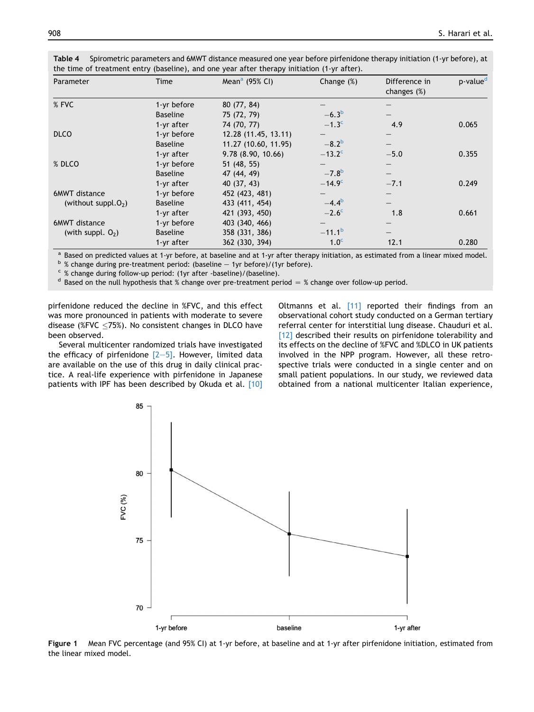| Parameter               | Time            | Mean <sup>a</sup> (95% CI) | Change $(\%)$        | Difference in<br>changes $(\%)$ | p-value <sup>d</sup> |
|-------------------------|-----------------|----------------------------|----------------------|---------------------------------|----------------------|
| % FVC                   | 1-yr before     | 80 (77, 84)                |                      |                                 |                      |
|                         | <b>Baseline</b> | 75 (72, 79)                | $-6.3^{b}$           |                                 |                      |
|                         | $1 - yr$ after  | 74 (70, 77)                | $-1.3c$              | 4.9                             | 0.065                |
| <b>DLCO</b>             | 1-yr before     | 12.28 (11.45, 13.11)       |                      |                                 |                      |
|                         | <b>Baseline</b> | 11.27 (10.60, 11.95)       | $-8.2^{b}$           |                                 |                      |
|                         | $1 - yr$ after  | 9.78(8.90, 10.66)          | $-13.2$ <sup>c</sup> | $-5.0$                          | 0.355                |
| % DLCO                  | 1-yr before     | 51 (48, 55)                |                      |                                 |                      |
|                         | <b>Baseline</b> | 47 (44, 49)                | $-7.8^{b}$           |                                 |                      |
|                         | $1-yr$ after    | 40 (37, 43)                | $-14.9c$             | $-7.1$                          | 0.249                |
| 6MWT distance           | 1-yr before     | 452 (423, 481)             |                      |                                 |                      |
| (without suppl. $O_2$ ) | <b>Baseline</b> | 433 (411, 454)             | $-4.4b$              |                                 |                      |
|                         | $1-yr$ after    | 421 (393, 450)             | $-2.6c$              | 1.8                             | 0.661                |
| 6MWT distance           | 1-yr before     | 403 (340, 466)             |                      |                                 |                      |
| (with suppl. $O2$ )     | <b>Baseline</b> | 358 (331, 386)             | $-11.1b$             |                                 |                      |
|                         | $1 - yr$ after  | 362 (330, 394)             | 1.0 <sup>c</sup>     | 12.1                            | 0.280                |

<span id="page-4-0"></span>Table 4 Spirometric parameters and 6MWT distance measured one year before pirfenidone therapy initiation (1-yr before), at the time of treatment entry (baseline), and one year after therapy initiation (1-yr after).

<sup>a</sup> Based on predicted values at 1-yr before, at baseline and at 1-yr after therapy initiation, as estimated from a linear mixed model.<br>
<sup>b</sup> % change during pre-treatment period: (baseline – 1yr before)/(1yr before).

 $\degree$  % change during follow-up period: (1yr after -baseline)/(baseline).<br>d Based on the null hypothesis that % change over pre-treatment period = % change over follow-up period.

pirfenidone reduced the decline in %FVC, and this effect was more pronounced in patients with moderate to severe disease (%FVC  $\leq$ 75%). No consistent changes in DLCO have been observed.

Several multicenter randomized trials have investigated the efficacy of pirfenidone  $[2-5]$  $[2-5]$ . However, limited data are available on the use of this drug in daily clinical practice. A real-life experience with pirfenidone in Japanese patients with IPF has been described by Okuda et al. [\[10\]](#page-8-0) Oltmanns et al. [\[11\]](#page-8-0) reported their findings from an observational cohort study conducted on a German tertiary referral center for interstitial lung disease. Chauduri et al. [\[12\]](#page-8-0) described their results on pirfenidone tolerability and its effects on the decline of %FVC and %DLCO in UK patients involved in the NPP program. However, all these retrospective trials were conducted in a single center and on small patient populations. In our study, we reviewed data obtained from a national multicenter Italian experience,



Figure 1 Mean FVC percentage (and 95% CI) at 1-yr before, at baseline and at 1-yr after pirfenidone initiation, estimated from the linear mixed model.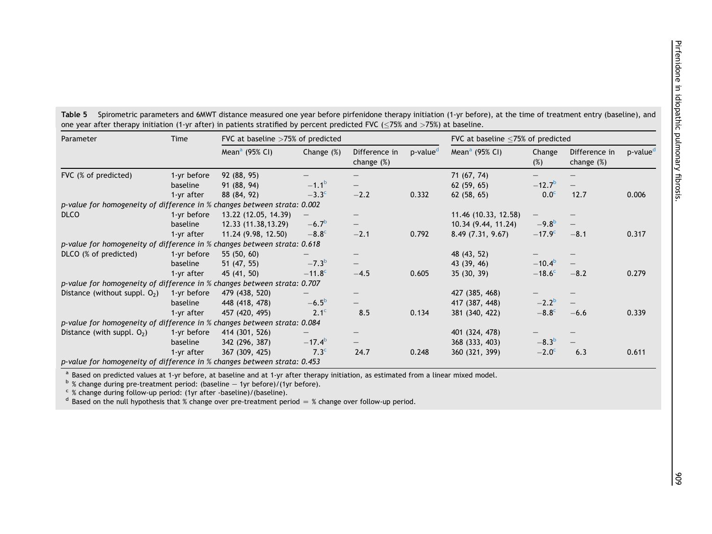| Parameter                                                                | Time          | FVC at baseline $>75%$ of predicted |                      |                                | FVC at baseline $\leq$ 75% of predicted |                            |                  |                                |                      |
|--------------------------------------------------------------------------|---------------|-------------------------------------|----------------------|--------------------------------|-----------------------------------------|----------------------------|------------------|--------------------------------|----------------------|
|                                                                          |               | Mean <sup>a</sup> (95% CI)          | Change $(\%)$        | Difference in<br>change $(\%)$ | p-value <sup>d</sup>                    | Mean <sup>a</sup> (95% CI) | Change<br>(%)    | Difference in<br>change $(\%)$ | p-value <sup>c</sup> |
| FVC (% of predicted)                                                     | 1-yr before   | 92 (88, 95)                         |                      |                                |                                         | 71 (67, 74)                |                  |                                |                      |
|                                                                          | baseline      | 91 (88, 94)                         | $-1.1^{b}$           | $\overline{\phantom{0}}$       |                                         | 62(59, 65)                 | $-12.7b$         |                                |                      |
|                                                                          | $1-yr$ after  | 88 (84, 92)                         | $-3.3c$              | $-2.2$                         | 0.332                                   | 62(58, 65)                 | 0.0 <sup>c</sup> | 12.7                           | 0.006                |
| p-value for homogeneity of difference in % changes between strata: 0.002 |               |                                     |                      |                                |                                         |                            |                  |                                |                      |
| <b>DLCO</b>                                                              | 1-yr before   | 13.22 (12.05, 14.39)                | $\qquad \qquad -$    | $\qquad \qquad -$              |                                         | 11.46 (10.33, 12.58)       | $-$              |                                |                      |
|                                                                          | baseline      | 12.33 (11.38,13.29)                 | $-6.7b$              | $-$                            |                                         | 10.34 (9.44, 11.24)        | $-9.8^{b}$       |                                |                      |
|                                                                          | $1-yr$ after  | 11.24 (9.98, 12.50)                 | $-8.8^{\circ}$       | $-2.1$                         | 0.792                                   | 8.49(7.31, 9.67)           | $-17.9^{\circ}$  | $-8.1$                         | 0.317                |
| p-value for homogeneity of difference in % changes between strata: 0.618 |               |                                     |                      |                                |                                         |                            |                  |                                |                      |
| DLCO (% of predicted)                                                    | $1-yr$ before | 55 (50, 60)                         |                      |                                |                                         | 48 (43, 52)                |                  |                                |                      |
|                                                                          | baseline      | 51 (47, 55)                         | $-7.3^{b}$           | $\overline{\phantom{0}}$       |                                         | 43 (39, 46)                | $-10.4^{b}$      |                                |                      |
|                                                                          | $1-yr$ after  | 45 (41, 50)                         | $-11.8$ <sup>c</sup> | $-4.5$                         | 0.605                                   | 35(30, 39)                 | $-18.6^{\circ}$  | $-8.2$                         | 0.279                |
| p-value for homogeneity of difference in % changes between strata: 0.707 |               |                                     |                      |                                |                                         |                            |                  |                                |                      |
| Distance (without suppl. $O_2$ )                                         | 1-yr before   | 479 (438, 520)                      |                      |                                |                                         | 427 (385, 468)             |                  |                                |                      |
|                                                                          | baseline      | 448 (418, 478)                      | $-6.5^{b}$           |                                |                                         | 417 (387, 448)             | $-2.2^{b}$       |                                |                      |
|                                                                          | $1-yr$ after  | 457 (420, 495)                      | 2.1 <sup>c</sup>     | 8.5                            | 0.134                                   | 381 (340, 422)             | $-8.8c$          | $-6.6$                         | 0.339                |
| p-value for homogeneity of difference in % changes between strata: 0.084 |               |                                     |                      |                                |                                         |                            |                  |                                |                      |
| Distance (with suppl. $O_2$ )                                            | 1-yr before   | 414 (301, 526)                      |                      | $\qquad \qquad -$              |                                         | 401 (324, 478)             |                  |                                |                      |
|                                                                          | baseline      | 342 (296, 387)                      | $-17.4^{\circ}$      |                                |                                         | 368 (333, 403)             | $-8.3^{b}$       |                                |                      |
|                                                                          | $1-yr$ after  | 367 (309, 425)                      | 7.3 <sup>c</sup>     | 24.7                           | 0.248                                   | 360 (321, 399)             | $-2.0c$          | 6.3                            | 0.611                |
| p-value for homogeneity of difference in % changes between strata: 0.453 |               |                                     |                      |                                |                                         |                            |                  |                                |                      |

<span id="page-5-0"></span>Table 5 Spirometric parameters and 6MWT distance measured one year before pirfenidone therapy initiation (1-yr before), at the time of treatment entry (baseline), and one year after therapy initiation (1-yr after) in patients stratified by percent predicted FVC ( $\langle 75\%$  and  $>75\%$ ) at baseline.

<sup>a</sup> Based on predicted values at 1-yr before, at baseline and at 1-yr after therapy initiation, as estimated from a linear mixed model.

 $^{\text{b}}$  % change during pre-treatment period: (baseline  $-$  1yr before)/(1yr before).

 $\textdegree$  % change during follow-up period: (1yr after -baseline)/(baseline).

 $^{\text{d}}$  Based on the null hypothesis that % change over pre-treatment period  $=$  % change over follow-up period.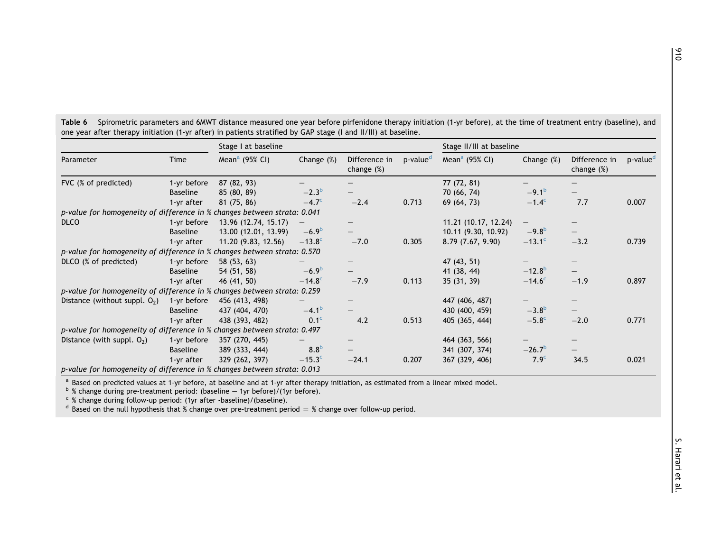|                                                                          |                 | Stage I at baseline        |                          |                                | Stage II/III at baseline |                            |                          |                                |                      |
|--------------------------------------------------------------------------|-----------------|----------------------------|--------------------------|--------------------------------|--------------------------|----------------------------|--------------------------|--------------------------------|----------------------|
| Parameter                                                                | Time            | Mean <sup>a</sup> (95% CI) | Change $(\%)$            | Difference in<br>change $(\%)$ | p-value <sup>d</sup>     | Mean <sup>a</sup> (95% CI) | Change $(\%)$            | Difference in<br>change $(\%)$ | p-value <sup>d</sup> |
| FVC (% of predicted)                                                     | 1-yr before     | 87 (82, 93)                |                          |                                |                          | 77 (72, 81)                |                          |                                |                      |
|                                                                          | <b>Baseline</b> | 85 (80, 89)                | $-2.3b$                  |                                |                          | 70 (66, 74)                | $-9.1b$                  |                                |                      |
|                                                                          | $1-yr$ after    | 81 (75, 86)                | $-4.7c$                  | $-2.4$                         | 0.713                    | 69 (64, 73)                | $-1.4c$                  | 7.7                            | 0.007                |
| p-value for homogeneity of difference in % changes between strata: 0.041 |                 |                            |                          |                                |                          |                            |                          |                                |                      |
| <b>DLCO</b>                                                              | $1-yr$ before   | 13.96 (12.74, 15.17)       | $\overline{\phantom{m}}$ | $\overline{\phantom{0}}$       |                          | 11.21 (10.17, 12.24)       | $\overline{\phantom{0}}$ |                                |                      |
|                                                                          | <b>Baseline</b> | 13.00 (12.01, 13.99)       | $-6.9^{b}$               |                                |                          | 10.11 (9.30, 10.92)        | $-9.8^{b}$               |                                |                      |
|                                                                          | $1-yr$ after    | 11.20 (9.83, 12.56)        | $-13.8c$                 | $-7.0$                         | 0.305                    | 8.79(7.67, 9.90)           | $-13.1^{\circ}$          | $-3.2$                         | 0.739                |
| p-value for homogeneity of difference in % changes between strata: 0.570 |                 |                            |                          |                                |                          |                            |                          |                                |                      |
| DLCO (% of predicted)                                                    | 1-yr before     | 58 (53, 63)                |                          |                                |                          | 47 (43, 51)                |                          |                                |                      |
|                                                                          | <b>Baseline</b> | 54 (51, 58)                | $-6.9^{b}$               |                                |                          | 41 (38, 44)                | $-12.8^{b}$              | $\qquad \qquad -$              |                      |
|                                                                          | $1-yr$ after    | 46 (41, 50)                | $-14.8$ <sup>c</sup>     | $-7.9$                         | 0.113                    | 35(31, 39)                 | $-14.6^{\circ}$          | $-1.9$                         | 0.897                |
| p-value for homogeneity of difference in % changes between strata: 0.259 |                 |                            |                          |                                |                          |                            |                          |                                |                      |
| Distance (without suppl. $O_2$ )                                         | $1-yr$ before   | 456 (413, 498)             |                          |                                |                          | 447 (406, 487)             |                          |                                |                      |
|                                                                          | <b>Baseline</b> | 437 (404, 470)             | $-4.1^{b}$               |                                |                          | 430 (400, 459)             | $-3.8^{b}$               | $\overline{\phantom{0}}$       |                      |
|                                                                          | $1-yr$ after    | 438 (393, 482)             | 0.1 <sup>c</sup>         | 4.2                            | 0.513                    | 405 (365, 444)             | $-5.8c$                  | $-2.0$                         | 0.771                |
| p-value for homogeneity of difference in % changes between strata: 0.497 |                 |                            |                          |                                |                          |                            |                          |                                |                      |
| Distance (with suppl. $O_2$ )                                            | $1-yr$ before   | 357 (270, 445)             |                          |                                |                          | 464 (363, 566)             |                          |                                |                      |
|                                                                          | <b>Baseline</b> | 389 (333, 444)             | 8.8 <sup>b</sup>         |                                |                          | 341 (307, 374)             | $-26.7b$                 |                                |                      |
|                                                                          | $1-yr$ after    | 329 (262, 397)             | $-15.3^{\circ}$          | $-24.1$                        | 0.207                    | 367 (329, 406)             | 7.9 <sup>c</sup>         | 34.5                           | 0.021                |
| p-value for homogeneity of difference in % changes between strata: 0.013 |                 |                            |                          |                                |                          |                            |                          |                                |                      |

<span id="page-6-0"></span>Table 6 Spirometric parameters and 6MWT distance measured one year before pirfenidone therapy initiation (1-yr before), at the time of treatment entry (baseline), and one year after therapy initiation (1-yr after) in patients stratified by GAP stage (I and II/III) at baseline.

<sup>a</sup> Based on predicted values at 1-yr before, at baseline and at 1-yr after therapy initiation, as estimated from a linear mixed model.

 $^{\rm b}$  % change during pre-treatment period: (baseline  $-$  1yr before)/(1yr before).

 $\textdegree$  % change during follow-up period: (1yr after -baseline)/(baseline).

 $^{\text{d}}$  Based on the null hypothesis that % change over pre-treatment period  $=$  % change over follow-up period.

910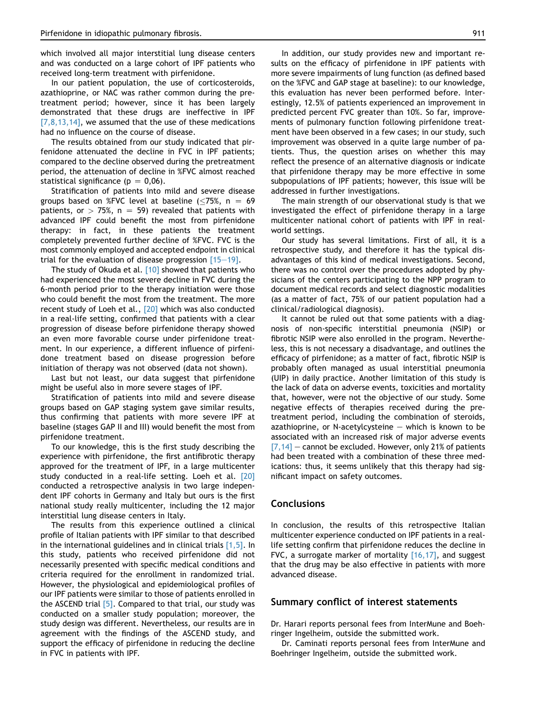which involved all major interstitial lung disease centers and was conducted on a large cohort of IPF patients who received long-term treatment with pirfenidone.

In our patient population, the use of corticosteroids, azathioprine, or NAC was rather common during the pretreatment period; however, since it has been largely demonstrated that these drugs are ineffective in IPF  $[7,8,13,14]$ , we assumed that the use of these medications had no influence on the course of disease.

The results obtained from our study indicated that pirfenidone attenuated the decline in FVC in IPF patients; compared to the decline observed during the pretreatment period, the attenuation of decline in %FVC almost reached statistical significance ( $p = 0,06$ ).

Stratification of patients into mild and severe disease groups based on %FVC level at baseline ( $\leq$ 75%, n = 69 patients, or  $> 75\%$ , n = 59) revealed that patients with advanced IPF could benefit the most from pirfenidone therapy: in fact, in these patients the treatment completely prevented further decline of %FVC. FVC is the most commonly employed and accepted endpoint in clinical trial for the evaluation of disease progression  $[15-19]$  $[15-19]$  $[15-19]$ .

The study of Okuda et al. [\[10\]](#page-8-0) showed that patients who had experienced the most severe decline in FVC during the 6-month period prior to the therapy initiation were those who could benefit the most from the treatment. The more recent study of Loeh et al., [\[20\]](#page-9-0) which was also conducted in a real-life setting, confirmed that patients with a clear progression of disease before pirfenidone therapy showed an even more favorable course under pirfenidone treatment. In our experience, a different influence of pirfenidone treatment based on disease progression before initiation of therapy was not observed (data not shown).

Last but not least, our data suggest that pirfenidone might be useful also in more severe stages of IPF.

Stratification of patients into mild and severe disease groups based on GAP staging system gave similar results, thus confirming that patients with more severe IPF at baseline (stages GAP II and III) would benefit the most from pirfenidone treatment.

To our knowledge, this is the first study describing the experience with pirfenidone, the first antifibrotic therapy approved for the treatment of IPF, in a large multicenter study conducted in a real-life setting. Loeh et al. [\[20\]](#page-9-0) conducted a retrospective analysis in two large independent IPF cohorts in Germany and Italy but ours is the first national study really multicenter, including the 12 major interstitial lung disease centers in Italy.

The results from this experience outlined a clinical profile of Italian patients with IPF similar to that described in the international guidelines and in clinical trials  $[1,5]$ . In this study, patients who received pirfenidone did not necessarily presented with specific medical conditions and criteria required for the enrollment in randomized trial. However, the physiological and epidemiological profiles of our IPF patients were similar to those of patients enrolled in the ASCEND trial [\[5\]](#page-8-0). Compared to that trial, our study was conducted on a smaller study population; moreover, the study design was different. Nevertheless, our results are in agreement with the findings of the ASCEND study, and support the efficacy of pirfenidone in reducing the decline in FVC in patients with IPF.

In addition, our study provides new and important results on the efficacy of pirfenidone in IPF patients with more severe impairments of lung function (as defined based on the %FVC and GAP stage at baseline): to our knowledge, this evaluation has never been performed before. Interestingly, 12.5% of patients experienced an improvement in predicted percent FVC greater than 10%. So far, improvements of pulmonary function following pirfenidone treatment have been observed in a few cases; in our study, such improvement was observed in a quite large number of patients. Thus, the question arises on whether this may reflect the presence of an alternative diagnosis or indicate that pirfenidone therapy may be more effective in some subpopulations of IPF patients; however, this issue will be addressed in further investigations.

The main strength of our observational study is that we investigated the effect of pirfenidone therapy in a large multicenter national cohort of patients with IPF in realworld settings.

Our study has several limitations. First of all, it is a retrospective study, and therefore it has the typical disadvantages of this kind of medical investigations. Second, there was no control over the procedures adopted by physicians of the centers participating to the NPP program to document medical records and select diagnostic modalities (as a matter of fact, 75% of our patient population had a clinical/radiological diagnosis).

It cannot be ruled out that some patients with a diagnosis of non-specific interstitial pneumonia (NSIP) or fibrotic NSIP were also enrolled in the program. Nevertheless, this is not necessary a disadvantage, and outlines the efficacy of pirfenidone; as a matter of fact, fibrotic NSIP is probably often managed as usual interstitial pneumonia (UIP) in daily practice. Another limitation of this study is the lack of data on adverse events, toxicities and mortality that, however, were not the objective of our study. Some negative effects of therapies received during the pretreatment period, including the combination of steroids, azathioprine, or N-acetylcysteine  $-$  which is known to be associated with an increased risk of major adverse events  $[7,14]$  – cannot be excluded. However, only 21% of patients had been treated with a combination of these three medications: thus, it seems unlikely that this therapy had significant impact on safety outcomes.

# **Conclusions**

In conclusion, the results of this retrospective Italian multicenter experience conducted on IPF patients in a reallife setting confirm that pirfenidone reduces the decline in FVC, a surrogate marker of mortality [\[16,17\],](#page-9-0) and suggest that the drug may be also effective in patients with more advanced disease.

#### Summary conflict of interest statements

Dr. Harari reports personal fees from InterMune and Boehringer Ingelheim, outside the submitted work.

Dr. Caminati reports personal fees from InterMune and Boehringer Ingelheim, outside the submitted work.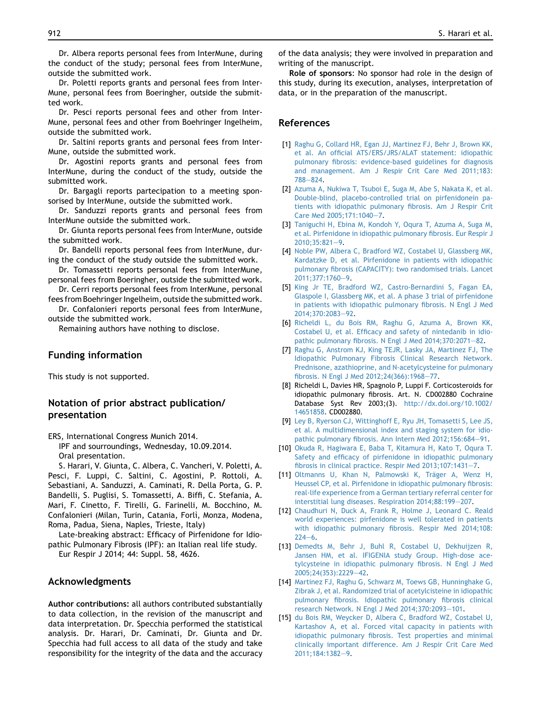<span id="page-8-0"></span>Dr. Albera reports personal fees from InterMune, during the conduct of the study; personal fees from InterMune, outside the submitted work.

Dr. Poletti reports grants and personal fees from Inter-Mune, personal fees from Boeringher, outside the submitted work.

Dr. Pesci reports personal fees and other from Inter-Mune, personal fees and other from Boehringer Ingelheim, outside the submitted work.

Dr. Saltini reports grants and personal fees from Inter-Mune, outside the submitted work.

Dr. Agostini reports grants and personal fees from InterMune, during the conduct of the study, outside the submitted work.

Dr. Bargagli reports partecipation to a meeting sponsorised by InterMune, outside the submitted work.

Dr. Sanduzzi reports grants and personal fees from InterMune outside the submitted work.

Dr. Giunta reports personal fees from InterMune, outside the submitted work.

Dr. Bandelli reports personal fees from InterMune, during the conduct of the study outside the submitted work.

Dr. Tomassetti reports personal fees from InterMune, personal fees from Boeringher, outside the submitted work.

Dr. Cerri reports personal fees from InterMune, personal

fees from Boehringer Ingelheim, outside the submitted work. Dr. Confalonieri reports personal fees from InterMune, outside the submitted work.

Remaining authors have nothing to disclose.

## Funding information

This study is not supported.

# Notation of prior abstract publication/ presentation

ERS, International Congress Munich 2014.

IPF and sourroundings, Wednesday, 10.09.2014. Oral presentation.

S. Harari, V. Giunta, C. Albera, C. Vancheri, V. Poletti, A. Pesci, F. Luppi, C. Saltini, C. Agostini, P. Rottoli, A. Sebastiani, A. Sanduzzi, A. Caminati, R. Della Porta, G. P. Bandelli, S. Puglisi, S. Tomassetti, A. Biffi, C. Stefania, A. Mari, F. Cinetto, F. Tirelli, G. Farinelli, M. Bocchino, M. Confalonieri (Milan, Turin, Catania, Forlì, Monza, Modena, Roma, Padua, Siena, Naples, Trieste, Italy)

Late-breaking abstract: Efficacy of Pirfenidone for Idiopathic Pulmonary Fibrosis (IPF): an Italian real life study.

Eur Respir J 2014; 44: Suppl. 58, 4626.

# Acknowledgments

Author contributions: all authors contributed substantially to data collection, in the revision of the manuscript and data interpretation. Dr. Specchia performed the statistical analysis. Dr. Harari, Dr. Caminati, Dr. Giunta and Dr. Specchia had full access to all data of the study and take responsibility for the integrity of the data and the accuracy of the data analysis; they were involved in preparation and writing of the manuscript.

Role of sponsors: No sponsor had role in the design of this study, during its execution, analyses, interpretation of data, or in the preparation of the manuscript.

## References

- [1] [Raghu G, Collard HR, Egan JJ, Martinez FJ, Behr J, Brown KK,](http://refhub.elsevier.com/S0954-6111(15)00121-3/sref1) [et al. An official ATS/ERS/JRS/ALAT statement: idiopathic](http://refhub.elsevier.com/S0954-6111(15)00121-3/sref1) [pulmonary fibrosis: evidence-based guidelines for diagnosis](http://refhub.elsevier.com/S0954-6111(15)00121-3/sref1) [and management. Am J Respir Crit Care Med 2011;183:](http://refhub.elsevier.com/S0954-6111(15)00121-3/sref1) [788](http://refhub.elsevier.com/S0954-6111(15)00121-3/sref1)-[824](http://refhub.elsevier.com/S0954-6111(15)00121-3/sref1).
- [2] [Azuma A, Nukiwa T, Tsuboi E, Suga M, Abe S, Nakata K, et al.](http://refhub.elsevier.com/S0954-6111(15)00121-3/sref2) [Double-blind, placebo-controlled trial on pirfenidonein pa](http://refhub.elsevier.com/S0954-6111(15)00121-3/sref2)[tients with idiopathic pulmonary fibrosis. Am J Respir Crit](http://refhub.elsevier.com/S0954-6111(15)00121-3/sref2) [Care Med 2005;171:1040](http://refhub.elsevier.com/S0954-6111(15)00121-3/sref2)-[7](http://refhub.elsevier.com/S0954-6111(15)00121-3/sref2).
- [3] [Taniguchi H, Ebina M, Kondoh Y, Oqura T, Azuma A, Suga M,](http://refhub.elsevier.com/S0954-6111(15)00121-3/sref3) [et al. Pirfenidone in idiopathic pulmonary fibrosis. Eur Respir J](http://refhub.elsevier.com/S0954-6111(15)00121-3/sref3)  $2010:35:821-9.$  $2010:35:821-9.$
- [4] [Noble PW, Albera C, Bradford WZ, Costabel U, Glassberg MK,](http://refhub.elsevier.com/S0954-6111(15)00121-3/sref4) [Kardatzke D, et al. Pirfenidone in patients with idiopathic](http://refhub.elsevier.com/S0954-6111(15)00121-3/sref4) [pulmonary fibrosis \(CAPACITY\): two randomised trials. Lancet](http://refhub.elsevier.com/S0954-6111(15)00121-3/sref4) [2011;377:1760](http://refhub.elsevier.com/S0954-6111(15)00121-3/sref4)-[9](http://refhub.elsevier.com/S0954-6111(15)00121-3/sref4).
- [5] [King Jr TE, Bradford WZ, Castro-Bernardini S, Fagan EA,](http://refhub.elsevier.com/S0954-6111(15)00121-3/sref5) [Glaspole I, Glassberg MK, et al. A phase 3 trial of pirfenidone](http://refhub.elsevier.com/S0954-6111(15)00121-3/sref5) [in patients with idiopathic pulmonary fibrosis. N Engl J Med](http://refhub.elsevier.com/S0954-6111(15)00121-3/sref5) 2014:370:2083-[92](http://refhub.elsevier.com/S0954-6111(15)00121-3/sref5).
- [6] [Richeldi L, du Bois RM, Raghu G, Azuma A, Brown KK,](http://refhub.elsevier.com/S0954-6111(15)00121-3/sref6) [Costabel U, et al. Efficacy and safety of nintedanib in idio](http://refhub.elsevier.com/S0954-6111(15)00121-3/sref6)pathic pulmonary fibrosis. N Engl J Med  $2014;370:2071-82$  $2014;370:2071-82$ .
- [7] [Raghu G, Anstrom KJ, King TEJR, Lasky JA, Martinez FJ, The](http://refhub.elsevier.com/S0954-6111(15)00121-3/sref7) [Idiopathic Pulmonary Fibrosis Clinical Research Network.](http://refhub.elsevier.com/S0954-6111(15)00121-3/sref7) [Prednisone, azathioprine, and N-acetylcysteine for pulmonary](http://refhub.elsevier.com/S0954-6111(15)00121-3/sref7) [fibrosis. N Engl J Med 2012;24\(366\):1968](http://refhub.elsevier.com/S0954-6111(15)00121-3/sref7)-[77](http://refhub.elsevier.com/S0954-6111(15)00121-3/sref7).
- [8] Richeldi L, Davies HR, Spagnolo P, Luppi F. Corticosteroids for idiopathic pulmonary fibrosis. Art. N. CD002880 Cochraine Database Syst Rev 2003;(3). [http://dx.doi.org/10.1002/](http://dx.doi.org/10.1002/14651858) [14651858.](http://dx.doi.org/10.1002/14651858) CD002880.
- [9] [Ley B, Ryerson CJ, Wittinghoff E, Ryu JH, Tomasetti S, Lee JS,](http://refhub.elsevier.com/S0954-6111(15)00121-3/sref9) [et al. A multidimensional index and staging system for idio](http://refhub.elsevier.com/S0954-6111(15)00121-3/sref9)[pathic pulmonary fibrosis. Ann Intern Med 2012;156:684](http://refhub.elsevier.com/S0954-6111(15)00121-3/sref9)-[91.](http://refhub.elsevier.com/S0954-6111(15)00121-3/sref9)
- [10] [Okuda R, Hagiwara E, Baba T, Kitamura H, Kato T, Oqura T.](http://refhub.elsevier.com/S0954-6111(15)00121-3/sref10) [Safety and efficacy of pirfenidone in idiopathic pulmonary](http://refhub.elsevier.com/S0954-6111(15)00121-3/sref10) [fibrosis in clinical practice. Respir Med 2013;107:1431](http://refhub.elsevier.com/S0954-6111(15)00121-3/sref10)-[7](http://refhub.elsevier.com/S0954-6111(15)00121-3/sref10).
- [11] Oltmanns U, Khan N, Palmowski K, Träger A, Wenz H, [Heussel CP, et al. Pirfenidone in idiopathic pulmonary fibrosis:](http://refhub.elsevier.com/S0954-6111(15)00121-3/sref11) [real-life experience from a German tertiary referral center for](http://refhub.elsevier.com/S0954-6111(15)00121-3/sref11) [interstitial lung diseases. Respiration 2014;88:199](http://refhub.elsevier.com/S0954-6111(15)00121-3/sref11)-[207](http://refhub.elsevier.com/S0954-6111(15)00121-3/sref11).
- [12] [Chaudhuri N, Duck A, Frank R, Holme J, Leonard C. Reald](http://refhub.elsevier.com/S0954-6111(15)00121-3/sref12) [world experiences: pirfenidone is well tolerated in patients](http://refhub.elsevier.com/S0954-6111(15)00121-3/sref12) [with idiopathic pulmonary fibrosis. Respir Med 2014;108:](http://refhub.elsevier.com/S0954-6111(15)00121-3/sref12)  $224 - 6.$  $224 - 6.$  $224 - 6.$  $224 - 6.$
- [13] [Demedts M, Behr J, Buhl R, Costabel U, Dekhuijzen R,](http://refhub.elsevier.com/S0954-6111(15)00121-3/sref13) [Jansen HM, et al. IFIGENIA study Group. High-dose ace](http://refhub.elsevier.com/S0954-6111(15)00121-3/sref13)[tylcysteine in idiopathic pulmonary fibrosis. N Engl J Med](http://refhub.elsevier.com/S0954-6111(15)00121-3/sref13) [2005;24\(353\):2229](http://refhub.elsevier.com/S0954-6111(15)00121-3/sref13)-[42.](http://refhub.elsevier.com/S0954-6111(15)00121-3/sref13)
- [14] [Martinez FJ, Raghu G, Schwarz M, Toews GB, Hunninghake G,](http://refhub.elsevier.com/S0954-6111(15)00121-3/sref14) [Zibrak J, et al. Randomized trial of acetylcisteine in idiopathic](http://refhub.elsevier.com/S0954-6111(15)00121-3/sref14) [pulmonary fibrosis. Idiopathic pulmonary fibrosis clinical](http://refhub.elsevier.com/S0954-6111(15)00121-3/sref14) [research Network. N Engl J Med 2014;370:2093](http://refhub.elsevier.com/S0954-6111(15)00121-3/sref14)-[101](http://refhub.elsevier.com/S0954-6111(15)00121-3/sref14).
- [15] [du Bois RM, Weycker D, Albera C, Bradford WZ, Costabel U,](http://refhub.elsevier.com/S0954-6111(15)00121-3/sref15) [Kartashov A, et al. Forced vital capacity in patients with](http://refhub.elsevier.com/S0954-6111(15)00121-3/sref15) [idiopathic pulmonary fibrosis. Test properties and minimal](http://refhub.elsevier.com/S0954-6111(15)00121-3/sref15) [clinically important difference. Am J Respir Crit Care Med](http://refhub.elsevier.com/S0954-6111(15)00121-3/sref15) [2011;184:1382](http://refhub.elsevier.com/S0954-6111(15)00121-3/sref15)-[9](http://refhub.elsevier.com/S0954-6111(15)00121-3/sref15).